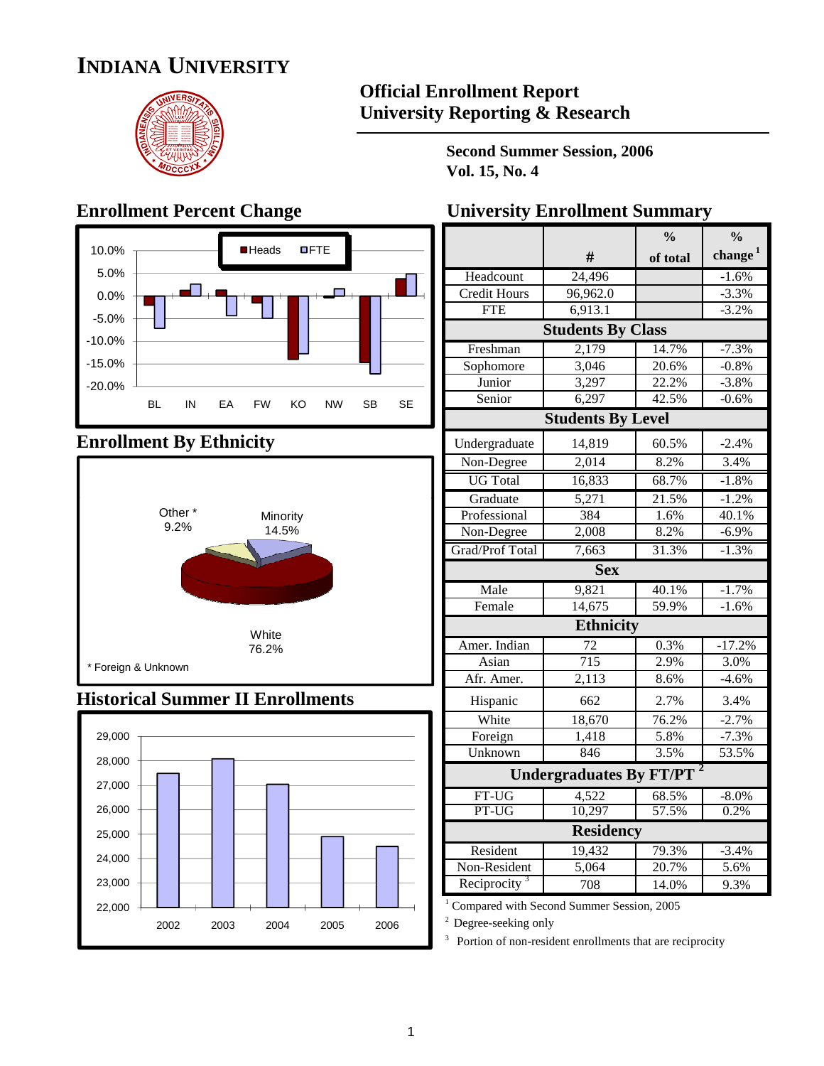# **INDIANA UNIVERSITY**



### **Official Enrollment Report University Reporting & Research**

**Second Summer Session, 2006 Vol. 15, No. 4**



### **Enrollment By Ethnicity**



### **Historical Summer II Enrollments**



### **Enrollment Percent Change University Enrollment Summary**

|                          |                                | $\frac{0}{0}$ | $\frac{0}{0}$ |
|--------------------------|--------------------------------|---------------|---------------|
|                          | #                              | of total      | change $1$    |
| Headcount                | 24,496                         |               | $-1.6%$       |
| Credit Hours             | 96,962.0                       |               | $-3.3%$       |
| <b>FTE</b>               | 6,913.1                        |               | $-3.2%$       |
|                          | <b>Students By Class</b>       |               |               |
| Freshman                 | 2,179                          | 14.7%         | $-7.3%$       |
| Sophomore                | 3,046                          | 20.6%         | $-0.8%$       |
| Junior                   | 3,297                          | 22.2%         | $-3.8%$       |
| Senior                   | 6,297                          | 42.5%         | $-0.6%$       |
|                          | <b>Students By Level</b>       |               |               |
| Undergraduate            | 14,819                         | 60.5%         | $-2.4%$       |
| Non-Degree               | 2,014                          | 8.2%          | 3.4%          |
| <b>UG</b> Total          | 16,833                         | 68.7%         | $-1.8%$       |
| Graduate                 | 5,271                          | 21.5%         | $-1.2%$       |
| Professional             | 384                            | 1.6%          | 40.1%         |
| Non-Degree               | 2,008                          | 8.2%          | $-6.9%$       |
| Grad/Prof Total          | 7,663                          | 31.3%         | $-1.3%$       |
|                          | <b>Sex</b>                     |               |               |
| Male                     | 9,821                          | 40.1%         | $-1.7%$       |
| Female                   | 14,675                         | 59.9%         | $-1.6%$       |
|                          | <b>Ethnicity</b>               |               |               |
| Amer. Indian             | 72                             | 0.3%          | $-17.2%$      |
| Asian                    | $\overline{715}$               | 2.9%          | 3.0%          |
| Afr. Amer.               | $\overline{2,1}13$             | 8.6%          | $-4.6%$       |
| Hispanic                 | 662                            | 2.7%          | 3.4%          |
| White                    | 18,670                         | 76.2%         | $-2.7%$       |
| Foreign                  | 1,418                          | 5.8%          | $-7.3%$       |
| Unknown                  | 846                            | 3.5%          | 53.5%         |
|                          | <b>Undergraduates By FT/PT</b> |               |               |
| FT-UG                    | 4,522                          | 68.5%         | $-8.0\%$      |
| PT-UG                    | 10,297                         | 57.5%         | 0.2%          |
|                          | <b>Residency</b>               |               |               |
| Resident                 | 19,432                         | 79.3%         | $-3.4%$       |
| Non-Resident             | 5,064                          | 20.7%         | 5.6%          |
| Reciprocity <sup>3</sup> | 708                            | 14.0%         | 9.3%          |

<sup>1</sup> Compared with Second Summer Session, 2005

2 Degree-seeking only

<sup>3</sup> Portion of non-resident enrollments that are reciprocity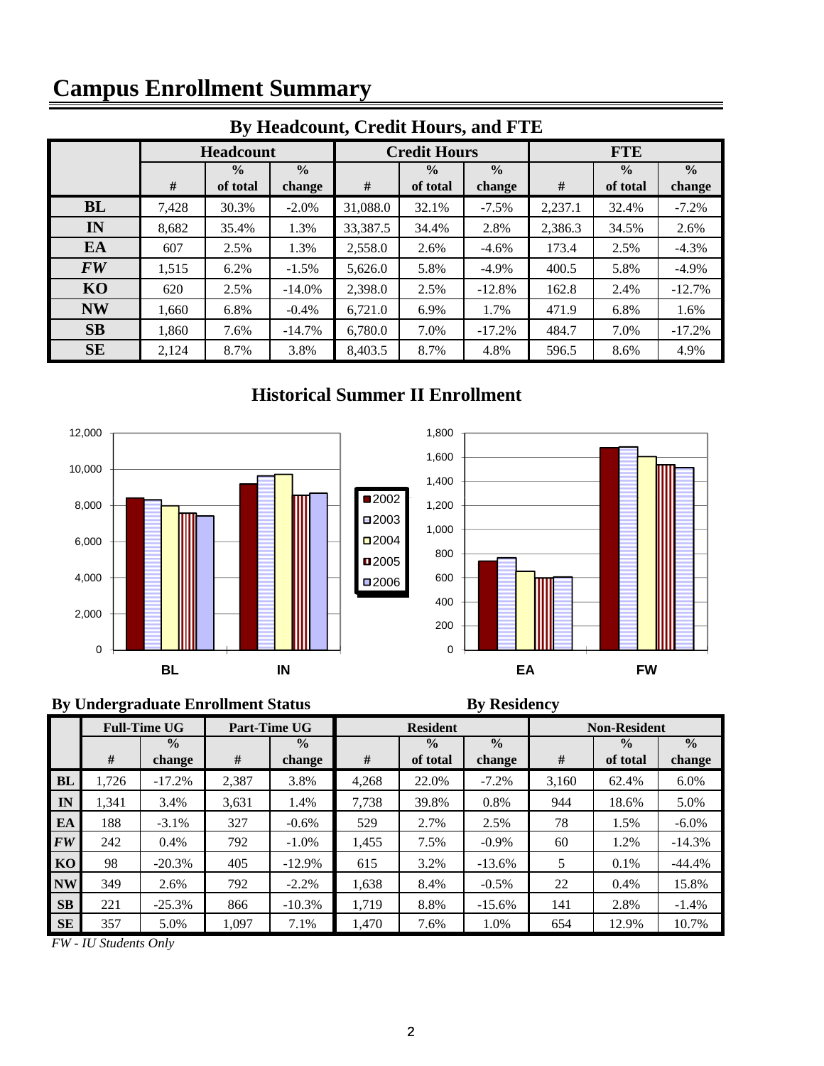# **Campus Enrollment Summary**

| By Headcount, Credit Hours, and FTE |       |                  |               |          |                                |          |            |               |               |  |  |  |
|-------------------------------------|-------|------------------|---------------|----------|--------------------------------|----------|------------|---------------|---------------|--|--|--|
|                                     |       | <b>Headcount</b> |               |          | <b>Credit Hours</b>            |          | <b>FTE</b> |               |               |  |  |  |
|                                     |       | $\frac{0}{0}$    | $\frac{0}{0}$ |          | $\frac{0}{0}$<br>$\frac{0}{0}$ |          |            | $\frac{0}{0}$ | $\frac{0}{0}$ |  |  |  |
|                                     | #     | of total         | change        | #        | of total                       | change   | #          | of total      | change        |  |  |  |
| <b>BL</b>                           | 7,428 | 30.3%            | $-2.0\%$      | 31,088.0 | 32.1%                          | $-7.5%$  | 2,237.1    | 32.4%         | $-7.2%$       |  |  |  |
| IN                                  | 8,682 | 35.4%            | 1.3%          | 33,387.5 | 34.4%                          | 2.8%     | 2,386.3    | 34.5%         | 2.6%          |  |  |  |
| EA                                  | 607   | 2.5%             | 1.3%          | 2,558.0  | 2.6%                           | $-4.6\%$ | 173.4      | 2.5%          | $-4.3%$       |  |  |  |
| <b>FW</b>                           | 1,515 | 6.2%             | $-1.5%$       | 5,626.0  | 5.8%                           | $-4.9\%$ | 400.5      | 5.8%          | $-4.9\%$      |  |  |  |
| KO                                  | 620   | 2.5%             | $-14.0\%$     | 2,398.0  | 2.5%                           | $-12.8%$ | 162.8      | 2.4%          | $-12.7%$      |  |  |  |
| <b>NW</b>                           | 1,660 | 6.8%             | $-0.4\%$      | 6,721.0  | 6.9%                           | 1.7%     | 471.9      | 6.8%          | 1.6%          |  |  |  |
| SB                                  | 1,860 | 7.6%             | $-14.7%$      | 6,780.0  | 7.0%                           | $-17.2%$ | 484.7      | 7.0%          | $-17.2%$      |  |  |  |
| <b>SE</b>                           | 2,124 | 8.7%             | 3.8%          | 8,403.5  | 8.7%                           | 4.8%     | 596.5      | 8.6%          | 4.9%          |  |  |  |

### **By Headcount, Credit Hours, and FTE**

### **Historical Summer II Enrollment**





### **By Undergraduate Enrollment Status By Residency**

|           | <b>Full-Time UG</b> |               |       | Part-Time UG  |       | <b>Resident</b> |               | <b>Non-Resident</b> |               |               |  |
|-----------|---------------------|---------------|-------|---------------|-------|-----------------|---------------|---------------------|---------------|---------------|--|
|           |                     | $\frac{0}{0}$ |       | $\frac{0}{0}$ |       | $\frac{0}{0}$   | $\frac{0}{0}$ |                     | $\frac{0}{0}$ | $\frac{0}{0}$ |  |
|           | #                   | change        | #     | change        | #     | of total        | change        | #                   | of total      | change        |  |
| <b>BL</b> | 1,726               | $-17.2%$      | 2,387 | 3.8%          | 4.268 | 22.0%           | $-7.2%$       | 3.160               | 62.4%         | $6.0\%$       |  |
| IN        | 1.341               | 3.4%          | 3,631 | 1.4%          | 7,738 | 39.8%           | 0.8%          | 944                 | 18.6%         | 5.0%          |  |
| EA        | 188                 | $-3.1%$       | 327   | $-0.6%$       | 529   | 2.7%            | 2.5%          | 78                  | 1.5%          | $-6.0\%$      |  |
| <b>FW</b> | 242                 | 0.4%          | 792   | $-1.0\%$      | 1,455 | 7.5%            | $-0.9\%$      | 60                  | 1.2%          | $-14.3%$      |  |
| KO        | 98                  | $-20.3%$      | 405   | $-12.9%$      | 615   | 3.2%            | $-13.6%$      | 5                   | 0.1%          | $-44.4%$      |  |
| <b>NW</b> | 349                 | 2.6%          | 792   | $-2.2%$       | 1,638 | 8.4%            | $-0.5\%$      | 22                  | 0.4%          | 15.8%         |  |
| <b>SB</b> | 221                 | $-25.3%$      | 866   | $-10.3%$      | 1.719 | 8.8%            | $-15.6\%$     | 141                 | 2.8%          | $-1.4%$       |  |
| <b>SE</b> | 357                 | 5.0%          | 1,097 | 7.1%          | 1,470 | 7.6%            | 1.0%          | 654                 | 12.9%         | 10.7%         |  |

*FW - IU Students Only*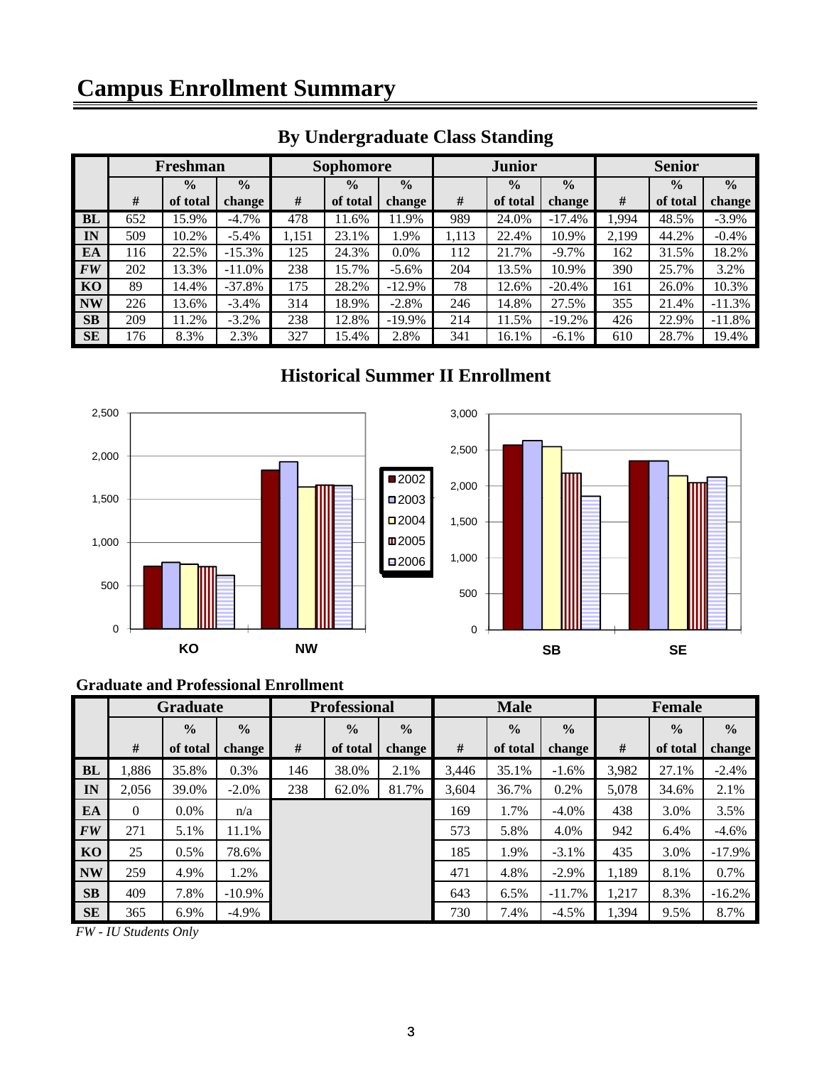# **Campus Enrollment Summary**

|                | Freshman |               |               | <b>Sophomore</b> |               |               | <b>Junior</b>                  |          |          | <b>Senior</b> |               |          |
|----------------|----------|---------------|---------------|------------------|---------------|---------------|--------------------------------|----------|----------|---------------|---------------|----------|
|                |          | $\frac{0}{0}$ | $\frac{0}{0}$ |                  | $\frac{0}{0}$ | $\frac{0}{0}$ | $\frac{0}{0}$<br>$\frac{0}{0}$ |          |          | $\frac{0}{0}$ | $\frac{0}{0}$ |          |
|                | #        | of total      | change        | #                | of total      | change        | #                              | of total | change   | #             | of total      | change   |
| BL             | 652      | 15.9%         | $-4.7\%$      | 478              | 11.6%         | 11.9%         | 989                            | 24.0%    | $-17.4%$ | 1,994         | 48.5%         | $-3.9\%$ |
| IN             | 509      | 10.2%         | $-5.4\%$      | 1,151            | 23.1%         | 1.9%          | 1,113                          | 22.4%    | 10.9%    | 2,199         | 44.2%         | $-0.4\%$ |
| EA             | 116      | 22.5%         | $-15.3%$      | 125              | 24.3%         | $0.0\%$       | 112                            | 21.7%    | $-9.7\%$ | 162           | 31.5%         | 18.2%    |
| <b>FW</b>      | 202      | 13.3%         | $-11.0\%$     | 238              | 15.7%         | $-5.6\%$      | 204                            | 13.5%    | 10.9%    | 390           | 25.7%         | 3.2%     |
| K <sub>O</sub> | 89       | 14.4%         | $-37.8%$      | 175              | 28.2%         | $-12.9%$      | 78                             | 12.6%    | $-20.4%$ | 161           | 26.0%         | 10.3%    |
| <b>NW</b>      | 226      | 13.6%         | $-3.4\%$      | 314              | 18.9%         | $-2.8%$       | 246                            | 14.8%    | 27.5%    | 355           | 21.4%         | $-11.3%$ |
| <b>SB</b>      | 209      | 11.2%         | $-3.2\%$      | 238              | 12.8%         | $-19.9\%$     | 214                            | 1.5%     | $-19.2%$ | 426           | 22.9%         | $-11.8%$ |
| <b>SE</b>      | 176      | 8.3%          | 2.3%          | 327              | 15.4%         | 2.8%          | 341                            | 16.1%    | $-6.1\%$ | 610           | 28.7%         | 19.4%    |

### **By Undergraduate Class Standing**

### **Historical Summer II Enrollment**



#### **Graduate and Professional Enrollment**

|           | <b>Graduate</b> |               | <b>Professional</b> |     |               | <b>Male</b>   |       |               | Female        |       |               |               |
|-----------|-----------------|---------------|---------------------|-----|---------------|---------------|-------|---------------|---------------|-------|---------------|---------------|
|           |                 | $\frac{0}{0}$ | $\frac{0}{0}$       |     | $\frac{0}{0}$ | $\frac{0}{0}$ |       | $\frac{0}{0}$ | $\frac{0}{0}$ |       | $\frac{0}{0}$ | $\frac{6}{6}$ |
|           | #               | of total      | change              | #   | of total      | change        | #     | of total      | change        | #     | of total      | change        |
| <b>BL</b> | .886            | 35.8%         | 0.3%                | 146 | 38.0%         | 2.1%          | 3,446 | 35.1%         | $-1.6%$       | 3,982 | 27.1%         | $-2.4%$       |
| IN        | 2,056           | 39.0%         | $-2.0\%$            | 238 | 62.0%         | 81.7%         | 3,604 | 36.7%         | 0.2%          | 5,078 | 34.6%         | 2.1%          |
| EA        | $\Omega$        | $0.0\%$       | n/a                 |     |               |               | 169   | 1.7%          | $-4.0\%$      | 438   | 3.0%          | 3.5%          |
| <b>FW</b> | 271             | 5.1%          | 11.1%               |     |               |               | 573   | 5.8%          | 4.0%          | 942   | 6.4%          | $-4.6%$       |
| KO        | 25              | $0.5\%$       | 78.6%               |     |               |               | 185   | 1.9%          | $-3.1\%$      | 435   | 3.0%          | $-17.9%$      |
| <b>NW</b> | 259             | 4.9%          | 1.2%                |     |               |               | 471   | 4.8%          | $-2.9\%$      | 1,189 | 8.1%          | 0.7%          |
| SB        | 409             | 7.8%          | $-10.9\%$           |     |               |               | 643   | 6.5%          | $-11.7%$      | 1,217 | 8.3%          | $-16.2%$      |
| <b>SE</b> | 365             | 6.9%          | $-4.9\%$            |     |               |               | 730   | 7.4%          | $-4.5%$       | 1,394 | 9.5%          | 8.7%          |

*FW - IU Students Only*